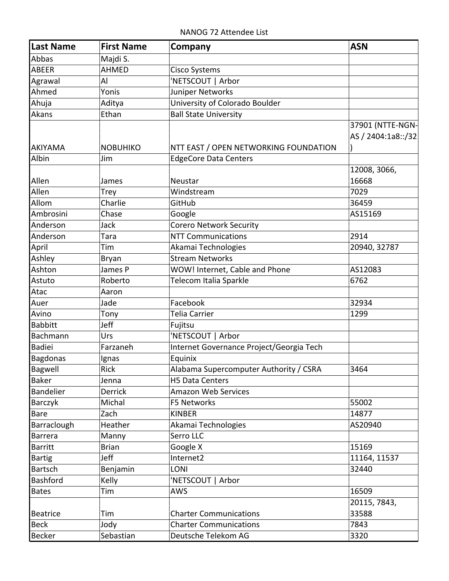| <b>Last Name</b> | <b>First Name</b> | Company                                  | <b>ASN</b>                             |
|------------------|-------------------|------------------------------------------|----------------------------------------|
| Abbas            | Majdi S.          |                                          |                                        |
| <b>ABEER</b>     | AHMED             | Cisco Systems                            |                                        |
| Agrawal          | Al                | 'NETSCOUT   Arbor                        |                                        |
| Ahmed            | Yonis             | Juniper Networks                         |                                        |
| Ahuja            | Aditya            | University of Colorado Boulder           |                                        |
| Akans            | Ethan             | <b>Ball State University</b>             |                                        |
| AKIYAMA          | <b>NOBUHIKO</b>   | NTT EAST / OPEN NETWORKING FOUNDATION    | 37901 (NTTE-NGN-<br>AS / 2404:1a8::/32 |
| Albin            | Jim               | <b>EdgeCore Data Centers</b>             |                                        |
|                  |                   |                                          | 12008, 3066,                           |
| Allen            | James             | Neustar                                  | 16668                                  |
| Allen            |                   | Windstream                               | 7029                                   |
| Allom            | Trey<br>Charlie   | GitHub                                   | 36459                                  |
| Ambrosini        | Chase             |                                          | AS15169                                |
| Anderson         |                   | Google                                   |                                        |
|                  | Jack              | <b>Corero Network Security</b>           | 2914                                   |
| Anderson         | Tara              | <b>NTT Communications</b>                |                                        |
| April            | Tim               | Akamai Technologies                      | 20940, 32787                           |
| Ashley           | Bryan             | <b>Stream Networks</b>                   |                                        |
| Ashton           | James P           | WOW! Internet, Cable and Phone           | AS12083                                |
| Astuto           | Roberto           | Telecom Italia Sparkle                   | 6762                                   |
| Atac             | Aaron             |                                          |                                        |
| Auer             | Jade              | Facebook                                 | 32934                                  |
| Avino            | Tony              | Telia Carrier                            | 1299                                   |
| <b>Babbitt</b>   | Jeff              | Fujitsu                                  |                                        |
| Bachmann         | Urs               | 'NETSCOUT   Arbor                        |                                        |
| Badiei           | Farzaneh          | Internet Governance Project/Georgia Tech |                                        |
| Bagdonas         | Ignas             | Equinix                                  |                                        |
| Bagwell          | Rick              | Alabama Supercomputer Authority / CSRA   | 3464                                   |
| <b>Baker</b>     | Jenna             | <b>H5 Data Centers</b>                   |                                        |
| Bandelier        | Derrick           | <b>Amazon Web Services</b>               |                                        |
| Barczyk          | Michal            | F5 Networks                              | 55002                                  |
| Bare             | Zach              | <b>KINBER</b>                            | 14877                                  |
| Barraclough      | Heather           | Akamai Technologies                      | AS20940                                |
| Barrera          | Manny             | Serro LLC                                |                                        |
| Barritt          | <b>Brian</b>      | Google X                                 | 15169                                  |
| <b>Bartig</b>    | Jeff              | Internet2                                | 11164, 11537                           |
| Bartsch          | Benjamin          | LONI                                     | 32440                                  |
| Bashford         | Kelly             | 'NETSCOUT   Arbor                        |                                        |
| <b>Bates</b>     | Tim               | <b>AWS</b>                               | 16509                                  |
|                  |                   |                                          | 20115, 7843,                           |
| Beatrice         | Tim               | <b>Charter Communications</b>            | 33588                                  |
| <b>Beck</b>      | Jody              | <b>Charter Communications</b>            | 7843                                   |
| Becker           | Sebastian         | Deutsche Telekom AG                      | 3320                                   |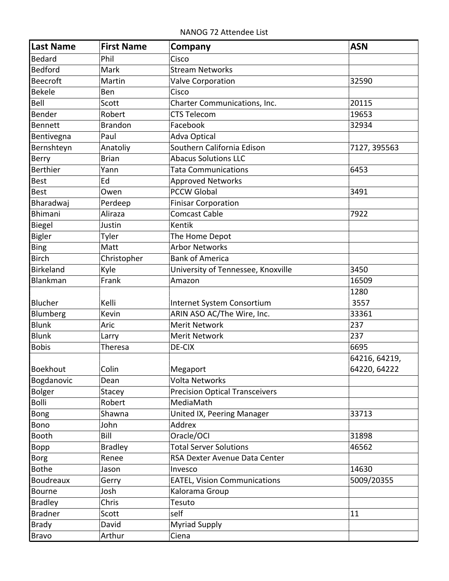NANOG 72 Attendee List

| Last Name        | <b>First Name</b> | Company                               | <b>ASN</b>    |
|------------------|-------------------|---------------------------------------|---------------|
| Bedard           | Phil              | Cisco                                 |               |
| Bedford          | Mark              | <b>Stream Networks</b>                |               |
| Beecroft         | Martin            | <b>Valve Corporation</b>              | 32590         |
| <b>Bekele</b>    | Ben               | Cisco                                 |               |
| Bell             | Scott             | Charter Communications, Inc.          | 20115         |
| Bender           | Robert            | <b>CTS Telecom</b>                    | 19653         |
| Bennett          | <b>Brandon</b>    | Facebook                              | 32934         |
| Bentivegna       | Paul              | <b>Adva Optical</b>                   |               |
| Bernshteyn       | Anatoliy          | Southern California Edison            | 7127, 395563  |
| Berry            | <b>Brian</b>      | <b>Abacus Solutions LLC</b>           |               |
| Berthier         | Yann              | <b>Tata Communications</b>            | 6453          |
| <b>Best</b>      | Ed                | <b>Approved Networks</b>              |               |
| <b>Best</b>      | Owen              | <b>PCCW Global</b>                    | 3491          |
| Bharadwaj        | Perdeep           | <b>Finisar Corporation</b>            |               |
| <b>Bhimani</b>   | Aliraza           | <b>Comcast Cable</b>                  | 7922          |
| Biegel           | Justin            | Kentik                                |               |
| <b>Bigler</b>    | Tyler             | The Home Depot                        |               |
| <b>Bing</b>      | Matt              | <b>Arbor Networks</b>                 |               |
| <b>Birch</b>     | Christopher       | <b>Bank of America</b>                |               |
| <b>Birkeland</b> | Kyle              | University of Tennessee, Knoxville    | 3450          |
| Blankman         | Frank             | Amazon                                | 16509         |
|                  |                   |                                       | 1280          |
| Blucher          | Kelli             | Internet System Consortium            | 3557          |
| Blumberg         | Kevin             | ARIN ASO AC/The Wire, Inc.            | 33361         |
| Blunk            | Aric              | <b>Merit Network</b>                  | 237           |
| Blunk            | Larry             | <b>Merit Network</b>                  | 237           |
| <b>Bobis</b>     | <b>Theresa</b>    | DE-CIX                                | 6695          |
|                  |                   |                                       | 64216, 64219, |
| Boekhout         | Colin             | Megaport                              | 64220, 64222  |
| Bogdanovic       | Dean              | <b>Volta Networks</b>                 |               |
| Bolger           | <b>Stacey</b>     | <b>Precision Optical Transceivers</b> |               |
| Bolli            | Robert            | MediaMath                             |               |
| <b>Bong</b>      | Shawna            | United IX, Peering Manager            | 33713         |
| Bono             | John              | Addrex                                |               |
| <b>Booth</b>     | Bill              | Oracle/OCI                            | 31898         |
| Bopp             | <b>Bradley</b>    | <b>Total Server Solutions</b>         | 46562         |
| <b>Borg</b>      | Renee             | RSA Dexter Avenue Data Center         |               |
| <b>Bothe</b>     | Jason             | Invesco                               | 14630         |
| Boudreaux        | Gerry             | <b>EATEL, Vision Communications</b>   | 5009/20355    |
| <b>Bourne</b>    | Josh              | Kalorama Group                        |               |
| <b>Bradley</b>   | Chris             | Tesuto                                |               |
| <b>Bradner</b>   | Scott             | self                                  | 11            |
| <b>Brady</b>     | David             | <b>Myriad Supply</b>                  |               |
| <b>Bravo</b>     | Arthur            | Ciena                                 |               |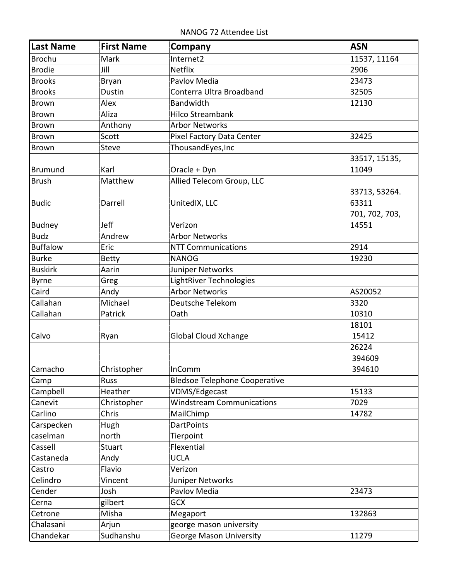NANOG 72 Attendee List

| Last Name       | <b>First Name</b> | Company                              | <b>ASN</b>     |
|-----------------|-------------------|--------------------------------------|----------------|
| Brochu          | Mark              | Internet2                            | 11537, 11164   |
| Brodie          | Jill              | <b>Netflix</b>                       | 2906           |
| <b>Brooks</b>   | Bryan             | Pavlov Media                         | 23473          |
| <b>Brooks</b>   | Dustin            | Conterra Ultra Broadband             | 32505          |
| Brown           | Alex              | Bandwidth                            | 12130          |
| Brown           | Aliza             | <b>Hilco Streambank</b>              |                |
| Brown           | Anthony           | <b>Arbor Networks</b>                |                |
| <b>Brown</b>    | Scott             | Pixel Factory Data Center            | 32425          |
| <b>Brown</b>    | <b>Steve</b>      | ThousandEyes, Inc                    |                |
|                 |                   |                                      | 33517, 15135,  |
| Brumund         | Karl              | Oracle + Dyn                         | 11049          |
| <b>Brush</b>    | Matthew           | Allied Telecom Group, LLC            |                |
|                 |                   |                                      | 33713, 53264.  |
| Budic           | Darrell           | UnitedIX, LLC                        | 63311          |
|                 |                   |                                      | 701, 702, 703, |
| Budney          | Jeff              | Verizon                              | 14551          |
| <b>Budz</b>     | Andrew            | <b>Arbor Networks</b>                |                |
| <b>Buffalow</b> | Eric              | <b>NTT Communications</b>            | 2914           |
| <b>Burke</b>    | <b>Betty</b>      | <b>NANOG</b>                         | 19230          |
| <b>Buskirk</b>  | Aarin             | Juniper Networks                     |                |
| Byrne           | Greg              | LightRiver Technologies              |                |
| Caird           | Andy              | <b>Arbor Networks</b>                | AS20052        |
| Callahan        | Michael           | Deutsche Telekom                     | 3320           |
| Callahan        | Patrick           | Oath                                 | 10310          |
|                 |                   |                                      | 18101          |
| Calvo           | Ryan              | <b>Global Cloud Xchange</b>          | 15412          |
|                 |                   |                                      | 26224          |
|                 |                   |                                      | 394609         |
| Camacho         | Christopher       | InComm                               | 394610         |
| Camp            | <b>Russ</b>       | <b>Bledsoe Telephone Cooperative</b> |                |
| Campbell        | Heather           | VDMS/Edgecast                        | 15133          |
| Canevit         | Christopher       | <b>Windstream Communications</b>     | 7029           |
| Carlino         | Chris             | MailChimp                            | 14782          |
| Carspecken      | Hugh              | <b>DartPoints</b>                    |                |
| caselman        | north             | Tierpoint                            |                |
| Cassell         | <b>Stuart</b>     | Flexential                           |                |
| Castaneda       | Andy              | <b>UCLA</b>                          |                |
| Castro          | Flavio            | Verizon                              |                |
| Celindro        | Vincent           | Juniper Networks                     |                |
| Cender          | Josh              | Pavlov Media                         | 23473          |
| Cerna           | gilbert           | <b>GCX</b>                           |                |
| Cetrone         | Misha             | Megaport                             | 132863         |
| Chalasani       | Arjun             | george mason university              |                |
| Chandekar       | Sudhanshu         | <b>George Mason University</b>       | 11279          |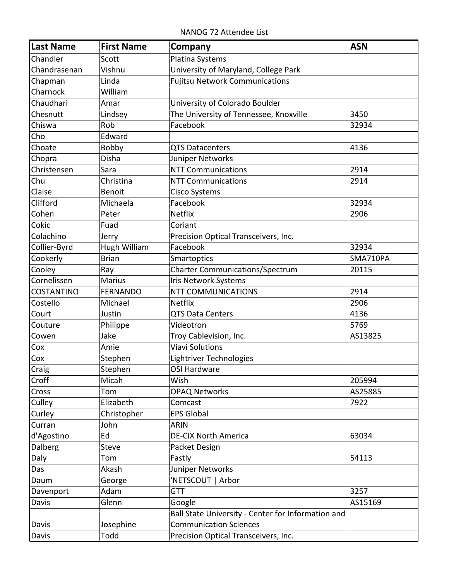NANOG 72 Attendee List

| Last Name                 | <b>First Name</b> | Company                                            | <b>ASN</b> |
|---------------------------|-------------------|----------------------------------------------------|------------|
| Chandler                  | Scott             | Platina Systems                                    |            |
| Chandrasenan              | Vishnu            | University of Maryland, College Park               |            |
| Chapman                   | Linda             | <b>Fujitsu Network Communications</b>              |            |
| Charnock                  | William           |                                                    |            |
| Chaudhari                 | Amar              | University of Colorado Boulder                     |            |
| Chesnutt                  | Lindsey           | The University of Tennessee, Knoxville             | 3450       |
| Chiswa                    | Rob               | Facebook                                           | 32934      |
| Cho                       | Edward            |                                                    |            |
| Choate                    | Bobby             | <b>QTS Datacenters</b>                             | 4136       |
| Chopra                    | Disha             | Juniper Networks                                   |            |
| Christensen               | Sara              | <b>NTT Communications</b>                          | 2914       |
| Chu                       | Christina         | <b>NTT Communications</b>                          | 2914       |
| Claise                    | Benoit            | <b>Cisco Systems</b>                               |            |
| Clifford                  | Michaela          | Facebook                                           | 32934      |
| Cohen                     | Peter             | Netflix                                            | 2906       |
| Cokic                     | Fuad              | Coriant                                            |            |
| Colachino                 | Jerry             | Precision Optical Transceivers, Inc.               |            |
| Collier-Byrd              | Hugh William      | Facebook                                           | 32934      |
| Cookerly                  | <b>Brian</b>      | <b>Smartoptics</b>                                 | SMA710PA   |
| Cooley                    | Ray               | <b>Charter Communications/Spectrum</b>             | 20115      |
| Cornelissen               | <b>Marius</b>     | Iris Network Systems                               |            |
| <b>COSTANTINO</b>         | <b>FERNANDO</b>   | <b>NTT COMMUNICATIONS</b>                          | 2914       |
| Costello                  | Michael           | <b>Netflix</b>                                     | 2906       |
| Court                     | Justin            | <b>QTS Data Centers</b>                            | 4136       |
| Couture                   | Philippe          | Videotron                                          | 5769       |
| Cowen                     | Jake              | Troy Cablevision, Inc.                             | AS13825    |
| Cox                       | Amie              | <b>Viavi Solutions</b>                             |            |
| Cox                       | Stephen           | Lightriver Technologies                            |            |
| $\overline{\text{Craig}}$ | Stephen           | OSI Hardware                                       |            |
| Croff                     | Micah             | Wish                                               | 205994     |
| <b>Cross</b>              | Tom               | <b>OPAQ Networks</b>                               | AS25885    |
| <b>Culley</b>             | Elizabeth         | Comcast                                            | 7922       |
| Curley                    | Christopher       | <b>EPS Global</b>                                  |            |
| Curran                    | John              | <b>ARIN</b>                                        |            |
| d'Agostino                | Ed                | <b>DE-CIX North America</b>                        | 63034      |
| Dalberg                   | <b>Steve</b>      | Packet Design                                      |            |
| Daly                      | Tom               | Fastly                                             | 54113      |
| Das                       | Akash             | Juniper Networks                                   |            |
| Daum                      | George            | 'NETSCOUT   Arbor                                  |            |
| Davenport                 | Adam              | <b>GTT</b>                                         | 3257       |
| Davis                     | Glenn             | Google                                             | AS15169    |
|                           |                   | Ball State University - Center for Information and |            |
| Davis                     | Josephine         | <b>Communication Sciences</b>                      |            |
| Davis                     | Todd              | Precision Optical Transceivers, Inc.               |            |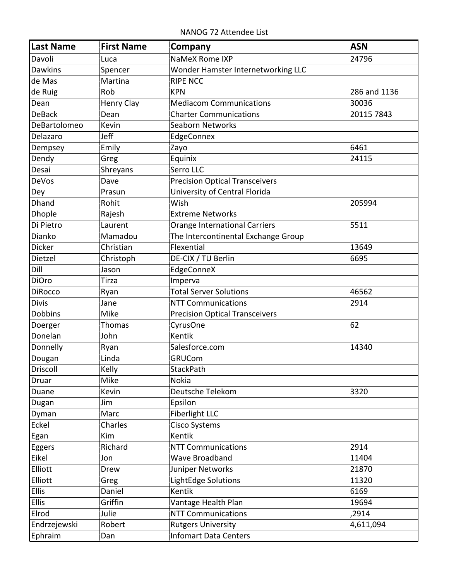NANOG 72 Attendee List

| <b>Last Name</b> | <b>First Name</b> | Company                               | <b>ASN</b>   |
|------------------|-------------------|---------------------------------------|--------------|
| Davoli           | Luca              | NaMeX Rome IXP                        | 24796        |
| <b>Dawkins</b>   | Spencer           | Wonder Hamster Internetworking LLC    |              |
| de Mas           | Martina           | <b>RIPE NCC</b>                       |              |
| de Ruig          | Rob               | <b>KPN</b>                            | 286 and 1136 |
| Dean             | <b>Henry Clay</b> | <b>Mediacom Communications</b>        | 30036        |
| <b>DeBack</b>    | Dean              | <b>Charter Communications</b>         | 20115 7843   |
| DeBartolomeo     | Kevin             | Seaborn Networks                      |              |
| Delazaro         | Jeff              | EdgeConnex                            |              |
| Dempsey          | Emily             | Zayo                                  | 6461         |
| Dendy            | Greg              | Equinix                               | 24115        |
| Desai            | Shreyans          | Serro LLC                             |              |
| DeVos            | Dave              | <b>Precision Optical Transceivers</b> |              |
| Dey              | Prasun            | University of Central Florida         |              |
| Dhand            | Rohit             | Wish                                  | 205994       |
| Dhople           | Rajesh            | <b>Extreme Networks</b>               |              |
| Di Pietro        | Laurent           | <b>Orange International Carriers</b>  | 5511         |
| Dianko           | Mamadou           | The Intercontinental Exchange Group   |              |
| Dicker           | Christian         | Flexential                            | 13649        |
| Dietzel          | Christoph         | DE-CIX / TU Berlin                    | 6695         |
| Dill             | Jason             | EdgeConneX                            |              |
| <b>DiOro</b>     | Tirza             | Imperva                               |              |
| <b>DiRocco</b>   | Ryan              | <b>Total Server Solutions</b>         | 46562        |
| <b>Divis</b>     | Jane              | <b>NTT Communications</b>             | 2914         |
| Dobbins          | Mike              | <b>Precision Optical Transceivers</b> |              |
| Doerger          | Thomas            | CyrusOne                              | 62           |
| Donelan          | John              | Kentik                                |              |
| Donnelly         | Ryan              | Salesforce.com                        | 14340        |
| Dougan           | Linda             | <b>GRUCom</b>                         |              |
| Driscoll         | Kelly             | StackPath                             |              |
| Druar            | Mike              | <b>Nokia</b>                          |              |
| Duane            | Kevin             | Deutsche Telekom                      | 3320         |
| Dugan            | Jim               | Epsilon                               |              |
| Dyman            | Marc              | Fiberlight LLC                        |              |
| Eckel            | Charles           | Cisco Systems                         |              |
| Egan             | Kim               | Kentik                                |              |
| Eggers           | Richard           | <b>NTT Communications</b>             | 2914         |
| Eikel            | Jon               | Wave Broadband                        | 11404        |
| Elliott          | Drew              | Juniper Networks                      | 21870        |
| Elliott          | Greg              | LightEdge Solutions                   | 11320        |
| <b>Ellis</b>     | Daniel            | Kentik                                | 6169         |
| <b>Ellis</b>     | Griffin           | Vantage Health Plan                   | 19694        |
| Elrod            | Julie             | <b>NTT Communications</b>             | ,2914        |
| Endrzejewski     | Robert            | <b>Rutgers University</b>             | 4,611,094    |
| Ephraim          | Dan               | <b>Infomart Data Centers</b>          |              |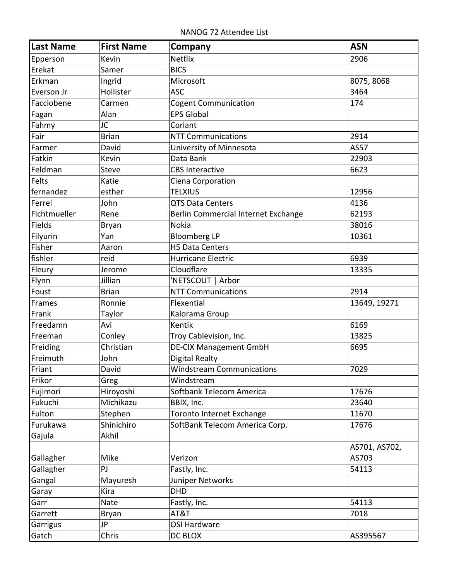NANOG 72 Attendee List

| Last Name    | <b>First Name</b> | Company                             | <b>ASN</b>    |
|--------------|-------------------|-------------------------------------|---------------|
| Epperson     | Kevin             | <b>Netflix</b>                      | 2906          |
| Erekat       | Samer             | <b>BICS</b>                         |               |
| Erkman       | Ingrid            | Microsoft                           | 8075, 8068    |
| Everson Jr   | Hollister         | <b>ASC</b>                          | 3464          |
| Facciobene   | Carmen            | <b>Cogent Communication</b>         | 174           |
| Fagan        | Alan              | <b>EPS Global</b>                   |               |
| Fahmy        | JC                | Coriant                             |               |
| Fair         | <b>Brian</b>      | <b>NTT Communications</b>           | 2914          |
| Farmer       | David             | University of Minnesota             | <b>AS57</b>   |
| Fatkin       | Kevin             | Data Bank                           | 22903         |
| Feldman      | <b>Steve</b>      | <b>CBS Interactive</b>              | 6623          |
| Felts        | Katie             | Ciena Corporation                   |               |
| fernandez    | esther            | <b>TELXIUS</b>                      | 12956         |
| Ferrel       | John              | <b>QTS Data Centers</b>             | 4136          |
| Fichtmueller | Rene              | Berlin Commercial Internet Exchange | 62193         |
| Fields       | Bryan             | <b>Nokia</b>                        | 38016         |
| Filyurin     | Yan               | <b>Bloomberg LP</b>                 | 10361         |
| Fisher       | Aaron             | <b>H5 Data Centers</b>              |               |
| fishler      | reid              | Hurricane Electric                  | 6939          |
| Fleury       | Jerome            | Cloudflare                          | 13335         |
| Flynn        | Jillian           | 'NETSCOUT   Arbor                   |               |
| Foust        | <b>Brian</b>      | <b>NTT Communications</b>           | 2914          |
| Frames       | Ronnie            | Flexential                          | 13649, 19271  |
| Frank        | Taylor            | Kalorama Group                      |               |
| Freedamn     | Avi               | Kentik                              | 6169          |
| Freeman      | Conley            | Troy Cablevision, Inc.              | 13825         |
| Freiding     | Christian         | <b>DE-CIX Management GmbH</b>       | 6695          |
| Freimuth     | John              | Digital Realty                      |               |
| Friant       | David             | <b>Windstream Communications</b>    | 7029          |
| Frikor       | Greg              | Windstream                          |               |
| Fujimori     | Hiroyoshi         | Softbank Telecom America            | 17676         |
| Fukuchi      | Michikazu         | BBIX, Inc.                          | 23640         |
| Fulton       | Stephen           | Toronto Internet Exchange           | 11670         |
| Furukawa     | Shinichiro        | SoftBank Telecom America Corp.      | 17676         |
| Gajula       | Akhil             |                                     |               |
|              |                   |                                     | AS701, AS702, |
| Gallagher    | Mike              | Verizon                             | AS703         |
| Gallagher    | PJ                | Fastly, Inc.                        | 54113         |
| Gangal       | Mayuresh          | Juniper Networks                    |               |
| Garay        | Kira              | <b>DHD</b>                          |               |
| Garr         | Nate              | Fastly, Inc.                        | 54113         |
| Garrett      | Bryan             | AT&T                                | 7018          |
| Garrigus     | JP                | <b>OSI Hardware</b>                 |               |
| Gatch        | Chris             | DC BLOX                             | AS395567      |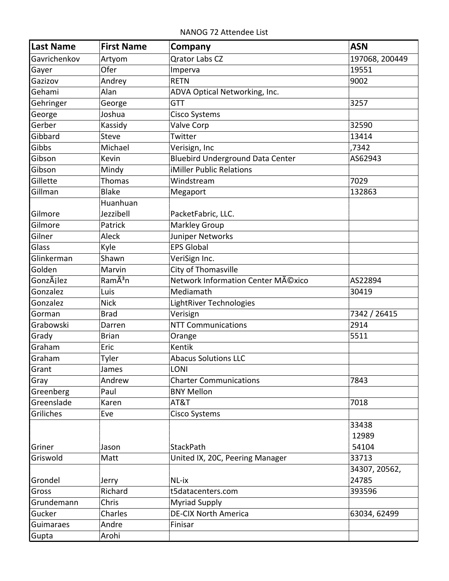NANOG 72 Attendee List

| <b>Last Name</b> | <b>First Name</b>   | Company                                 | <b>ASN</b>     |
|------------------|---------------------|-----------------------------------------|----------------|
| Gavrichenkov     | Artyom              | <b>Qrator Labs CZ</b>                   | 197068, 200449 |
| Gayer            | Ofer                | Imperva                                 | 19551          |
| Gazizov          | Andrey              | <b>RETN</b>                             | 9002           |
| Gehami           | Alan                | ADVA Optical Networking, Inc.           |                |
| Gehringer        | George              | <b>GTT</b>                              | 3257           |
| George           | Joshua              | <b>Cisco Systems</b>                    |                |
| Gerber           | Kassidy             | Valve Corp                              | 32590          |
| Gibbard          | <b>Steve</b>        | Twitter                                 | 13414          |
| Gibbs            | Michael             | Verisign, Inc                           | ,7342          |
| Gibson           | Kevin               | <b>Bluebird Underground Data Center</b> | AS62943        |
| Gibson           | Mindy               | iMiller Public Relations                |                |
| Gillette         | <b>Thomas</b>       | Windstream                              | 7029           |
| Gillman          | <b>Blake</b>        | Megaport                                | 132863         |
|                  | Huanhuan            |                                         |                |
| Gilmore          | Jezzibell           | PacketFabric, LLC.                      |                |
| Gilmore          | Patrick             | <b>Markley Group</b>                    |                |
| Gilner           | Aleck               | Juniper Networks                        |                |
| Glass            | Kyle                | <b>EPS Global</b>                       |                |
| Glinkerman       | Shawn               | VeriSign Inc.                           |                |
| Golden           | Marvin              | City of Thomasville                     |                |
| GonzÃilez        | RamÃ <sup>3</sup> n | Network Information Center México       | AS22894        |
| Gonzalez         | Luis                | Mediamath                               | 30419          |
| Gonzalez         | <b>Nick</b>         | LightRiver Technologies                 |                |
| Gorman           | <b>Brad</b>         | Verisign                                | 7342 / 26415   |
| Grabowski        | Darren              | <b>NTT Communications</b>               | 2914           |
| Grady            | <b>Brian</b>        | Orange                                  | 5511           |
| Graham           | Eric                | Kentik                                  |                |
| Graham           | Tyler               | <b>Abacus Solutions LLC</b>             |                |
| Grant            | James               | <b>LONI</b>                             |                |
| Gray             | Andrew              | <b>Charter Communications</b>           | 7843           |
| Greenberg        | Paul                | <b>BNY Mellon</b>                       |                |
| Greenslade       | Karen               | AT&T                                    | 7018           |
| Griliches        | Eve                 | <b>Cisco Systems</b>                    |                |
|                  |                     |                                         | 33438          |
|                  |                     |                                         | 12989          |
| Griner           | Jason               | StackPath                               | 54104          |
| Griswold         | Matt                | United IX, 20C, Peering Manager         | 33713          |
|                  |                     |                                         | 34307, 20562,  |
| Grondel          | Jerry               | NL-ix                                   | 24785          |
| Gross            | Richard             | t5datacenters.com                       | 393596         |
| Grundemann       | Chris               | <b>Myriad Supply</b>                    |                |
| Gucker           | Charles             | <b>DE-CIX North America</b>             | 63034, 62499   |
| Guimaraes        | Andre               | Finisar                                 |                |
| Gupta            | Arohi               |                                         |                |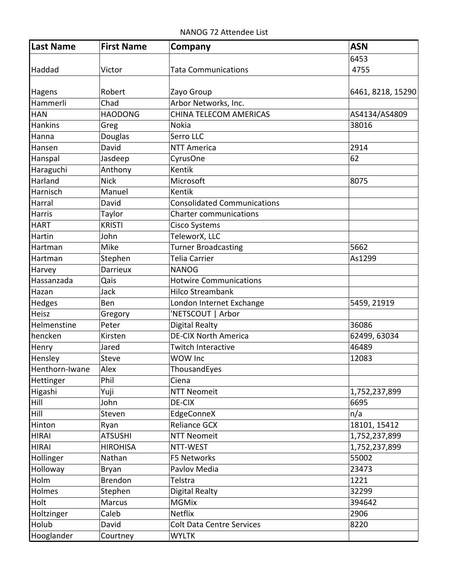NANOG 72 Attendee List

| Last Name      | <b>First Name</b> | Company                            | <b>ASN</b>        |
|----------------|-------------------|------------------------------------|-------------------|
|                |                   |                                    | 6453              |
| Haddad         | Victor            | <b>Tata Communications</b>         | 4755              |
|                |                   |                                    |                   |
| Hagens         | Robert            | Zayo Group                         | 6461, 8218, 15290 |
| Hammerli       | Chad              | Arbor Networks, Inc.               |                   |
| <b>HAN</b>     | <b>HAODONG</b>    | CHINA TELECOM AMERICAS             | AS4134/AS4809     |
| <b>Hankins</b> | Greg              | Nokia                              | 38016             |
| Hanna          | Douglas           | Serro LLC                          |                   |
| Hansen         | David             | <b>NTT America</b>                 | 2914              |
| Hanspal        | Jasdeep           | CyrusOne                           | 62                |
| Haraguchi      | Anthony           | Kentik                             |                   |
| Harland        | <b>Nick</b>       | Microsoft                          | 8075              |
| Harnisch       | Manuel            | Kentik                             |                   |
| Harral         | David             | <b>Consolidated Communications</b> |                   |
| Harris         | Taylor            | <b>Charter communications</b>      |                   |
| <b>HART</b>    | <b>KRISTI</b>     | <b>Cisco Systems</b>               |                   |
| Hartin         | John              | TeleworX, LLC                      |                   |
| Hartman        | Mike              | Turner Broadcasting                | 5662              |
| Hartman        | Stephen           | <b>Telia Carrier</b>               | As1299            |
| Harvey         | <b>Darrieux</b>   | <b>NANOG</b>                       |                   |
| Hassanzada     | Qais              | <b>Hotwire Communications</b>      |                   |
| Hazan          | Jack              | <b>Hilco Streambank</b>            |                   |
| Hedges         | Ben               | London Internet Exchange           | 5459, 21919       |
| Heisz          | Gregory           | 'NETSCOUT   Arbor                  |                   |
| Helmenstine    | Peter             | <b>Digital Realty</b>              | 36086             |
| hencken        | Kirsten           | <b>DE-CIX North America</b>        | 62499, 63034      |
| Henry          | Jared             | <b>Twitch Interactive</b>          | 46489             |
| Hensley        | <b>Steve</b>      | WOW Inc                            | 12083             |
| Henthorn-Iwane | Alex              | ThousandEyes                       |                   |
| Hettinger      | Phil              | Ciena                              |                   |
| Higashi        | Yuji              | <b>NTT Neomeit</b>                 | 1,752,237,899     |
| Hill           | John              | DE-CIX                             | 6695              |
| Hill           | Steven            | EdgeConneX                         | n/a               |
| Hinton         | Ryan              | <b>Reliance GCX</b>                | 18101, 15412      |
| HIRAI          | <b>ATSUSHI</b>    | <b>NTT Neomeit</b>                 | 1,752,237,899     |
| <b>HIRAI</b>   | <b>HIROHISA</b>   | NTT-WEST                           | 1,752,237,899     |
| Hollinger      | Nathan            | F5 Networks                        | 55002             |
| Holloway       | Bryan             | Pavlov Media                       | 23473             |
| Holm           | <b>Brendon</b>    | Telstra                            | 1221              |
| Holmes         | Stephen           | <b>Digital Realty</b>              | 32299             |
| Holt           | <b>Marcus</b>     | <b>MGMix</b>                       | 394642            |
| Holtzinger     | Caleb             | <b>Netflix</b>                     | 2906              |
| Holub          | David             | <b>Colt Data Centre Services</b>   | 8220              |
| Hooglander     | Courtney          | <b>WYLTK</b>                       |                   |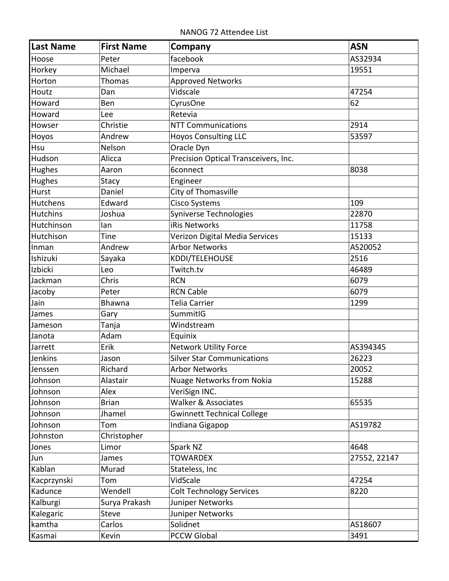NANOG 72 Attendee List

| <b>Last Name</b> | <b>First Name</b> | Company                              | <b>ASN</b>   |
|------------------|-------------------|--------------------------------------|--------------|
| Hoose            | Peter             | facebook                             | AS32934      |
| Horkey           | Michael           | Imperva                              | 19551        |
| Horton           | <b>Thomas</b>     | <b>Approved Networks</b>             |              |
| Houtz            | Dan               | Vidscale                             | 47254        |
| Howard           | Ben               | CyrusOne                             | 62           |
| Howard           | Lee               | Retevia                              |              |
| Howser           | Christie          | <b>NTT Communications</b>            | 2914         |
| Hoyos            | Andrew            | <b>Hoyos Consulting LLC</b>          | 53597        |
| Hsu              | Nelson            | Oracle Dyn                           |              |
| Hudson           | Alicca            | Precision Optical Transceivers, Inc. |              |
| Hughes           | Aaron             | 6connect                             | 8038         |
| Hughes           | Stacy             | Engineer                             |              |
| Hurst            | Daniel            | City of Thomasville                  |              |
| <b>Hutchens</b>  | Edward            | <b>Cisco Systems</b>                 | 109          |
| <b>Hutchins</b>  | Joshua            | Syniverse Technologies               | 22870        |
| Hutchinson       | lan               | iRis Networks                        | 11758        |
| Hutchison        | Tine              | Verizon Digital Media Services       | 15133        |
| Inman            | Andrew            | <b>Arbor Networks</b>                | AS20052      |
| Ishizuki         | Sayaka            | KDDI/TELEHOUSE                       | 2516         |
| Izbicki          | Leo               | Twitch.tv                            | 46489        |
| Jackman          | Chris             | <b>RCN</b>                           | 6079         |
| Jacoby           | Peter             | <b>RCN Cable</b>                     | 6079         |
| Jain             | Bhawna            | Telia Carrier                        | 1299         |
| James            | Gary              | SummitIG                             |              |
| Jameson          | Tanja             | Windstream                           |              |
| Janota           | Adam              | Equinix                              |              |
| Jarrett          | Erik              | Network Utility Force                | AS394345     |
| Jenkins          | Jason             | <b>Silver Star Communications</b>    | 26223        |
| Jenssen          | Richard           | <b>Arbor Networks</b>                | 20052        |
| Johnson          | Alastair          | <b>Nuage Networks from Nokia</b>     | 15288        |
| Johnson          | Alex              | VeriSign INC.                        |              |
| Johnson          | <b>Brian</b>      | Walker & Associates                  | 65535        |
| Johnson          | Jhamel            | <b>Gwinnett Technical College</b>    |              |
| Johnson          | Tom               | Indiana Gigapop                      | AS19782      |
| Johnston         | Christopher       |                                      |              |
| Jones            | Limor             | Spark NZ                             | 4648         |
| Jun              | James             | <b>TOWARDEX</b>                      | 27552, 22147 |
| Kablan           | Murad             | Stateless, Inc                       |              |
| Kacprzynski      | Tom               | VidScale                             | 47254        |
| Kadunce          | Wendell           | <b>Colt Technology Services</b>      | 8220         |
| Kalburgi         | Surya Prakash     | Juniper Networks                     |              |
| Kalegaric        | <b>Steve</b>      | Juniper Networks                     |              |
| kamtha           | Carlos            | Solidnet                             | AS18607      |
| Kasmai           | Kevin             | <b>PCCW Global</b>                   | 3491         |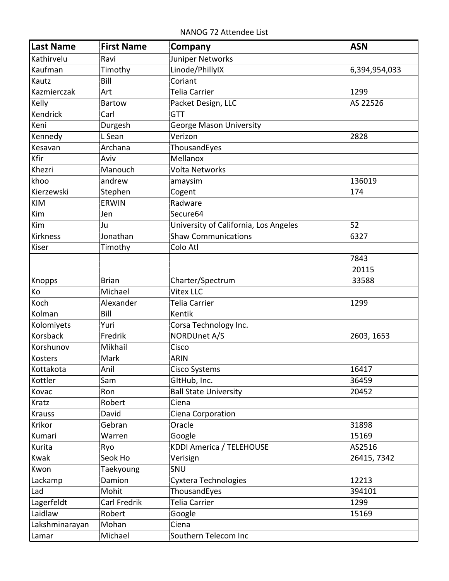NANOG 72 Attendee List

| Last Name              | <b>First Name</b>    | Company                               | <b>ASN</b>    |
|------------------------|----------------------|---------------------------------------|---------------|
| Kathirvelu             | Ravi                 | Juniper Networks                      |               |
| Kaufman                | Timothy              | Linode/PhillyIX                       | 6,394,954,033 |
| Kautz                  | Bill                 | Coriant                               |               |
| Kazmierczak            | Art                  | <b>Telia Carrier</b>                  | 1299          |
| Kelly                  | <b>Bartow</b>        | Packet Design, LLC                    | AS 22526      |
| Kendrick               | Carl                 | <b>GTT</b>                            |               |
| Keni                   | Durgesh              | <b>George Mason University</b>        |               |
| Kennedy                | L Sean               | Verizon                               | 2828          |
| Kesavan                | Archana              | ThousandEyes                          |               |
| Kfir                   | Aviv                 | Mellanox                              |               |
| Khezri                 | Manouch              | <b>Volta Networks</b>                 |               |
| khoo                   | andrew               | amaysim                               | 136019        |
| Kierzewski             | Stephen              | Cogent                                | 174           |
| KIM                    | <b>ERWIN</b>         | Radware                               |               |
| Kim                    | Jen                  | Secure64                              |               |
| Kim                    | Ju                   | University of California, Los Angeles | 52            |
| Kirkness               | Jonathan             | <b>Shaw Communications</b>            | 6327          |
| Kiser                  | Timothy              | Colo Atl                              |               |
|                        |                      |                                       | 7843          |
|                        |                      |                                       | 20115         |
| Knopps                 | <b>Brian</b>         | Charter/Spectrum<br><b>Vitex LLC</b>  | 33588         |
| Ko<br>Koch             | Michael<br>Alexander | <b>Telia Carrier</b>                  | 1299          |
| Kolman                 | Bill                 | Kentik                                |               |
|                        | Yuri                 |                                       |               |
| Kolomiyets<br>Korsback | Fredrik              | Corsa Technology Inc.<br>NORDUnet A/S |               |
| Korshunov              | Mikhail              | Cisco                                 | 2603, 1653    |
| Kosters                | Mark                 | <b>ARIN</b>                           |               |
| Kottakota              | Anil                 |                                       | 16417         |
| Kottler                | Sam                  | Cisco Systems<br>GItHub, Inc.         | 36459         |
|                        |                      |                                       |               |
| Kovac                  | Ron<br>Robert        | <b>Ball State University</b><br>Ciena | 20452         |
| Kratz                  |                      |                                       |               |
| <b>Krauss</b>          | David                | Ciena Corporation                     |               |
| Krikor                 | Gebran               | Oracle                                | 31898         |
| Kumari                 | Warren               | Google                                | 15169         |
| Kurita                 | Ryo                  | <b>KDDI America / TELEHOUSE</b>       | AS2516        |
| Kwak                   | Seok Ho              | Verisign                              | 26415, 7342   |
| Kwon                   | Taekyoung<br>Damion  | SNU                                   | 12213         |
| Lackamp                |                      | Cyxtera Technologies                  |               |
| Lad                    | Mohit                | ThousandEyes                          | 394101        |
| Lagerfeldt             | Carl Fredrik         | Telia Carrier                         | 1299          |
| Laidlaw                | Robert               | Google                                | 15169         |
| Lakshminarayan         | Mohan                | Ciena                                 |               |
| Lamar                  | Michael              | Southern Telecom Inc                  |               |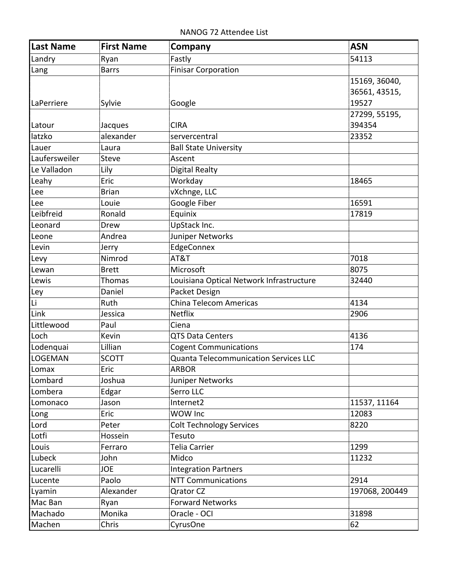NANOG 72 Attendee List

| Last Name         | <b>First Name</b> | Company                                      | <b>ASN</b>     |
|-------------------|-------------------|----------------------------------------------|----------------|
| Landry            | Ryan              | Fastly                                       | 54113          |
| Lang              | <b>Barrs</b>      | Finisar Corporation                          |                |
|                   |                   |                                              | 15169, 36040,  |
|                   |                   |                                              | 36561, 43515,  |
| <b>LaPerriere</b> | Sylvie            | Google                                       | 19527          |
|                   |                   |                                              | 27299, 55195,  |
| Latour            | Jacques           | <b>CIRA</b>                                  | 394354         |
| latzko            | alexander         | servercentral                                | 23352          |
| Lauer             | Laura             | <b>Ball State University</b>                 |                |
| Laufersweiler     | <b>Steve</b>      | Ascent                                       |                |
| Le Valladon       | Lily              | Digital Realty                               |                |
| Leahy             | Eric              | Workday                                      | 18465          |
| Lee               | <b>Brian</b>      | vXchnge, LLC                                 |                |
| Lee               | Louie             | Google Fiber                                 | 16591          |
| Leibfreid         | Ronald            | Equinix                                      | 17819          |
| Leonard           | Drew              | UpStack Inc.                                 |                |
| Leone             | Andrea            | Juniper Networks                             |                |
| Levin             | Jerry             | EdgeConnex                                   |                |
| Levy              | Nimrod            | AT&T                                         | 7018           |
| Lewan             | <b>Brett</b>      | Microsoft                                    | 8075           |
| Lewis             | <b>Thomas</b>     | Louisiana Optical Network Infrastructure     | 32440          |
| Ley               | Daniel            | Packet Design                                |                |
| Li                | Ruth              | China Telecom Americas                       | 4134           |
| Link              | Jessica           | <b>Netflix</b>                               | 2906           |
| Littlewood        | Paul              | Ciena                                        |                |
| Loch              | Kevin             | <b>QTS Data Centers</b>                      | 4136           |
| Lodenquai         | Lillian           | <b>Cogent Communications</b>                 | 174            |
| LOGEMAN           | <b>SCOTT</b>      | <b>Quanta Telecommunication Services LLC</b> |                |
| Lomax             | Eric              | <b>ARBOR</b>                                 |                |
| Lombard           | Joshua            | Juniper Networks                             |                |
| Lombera           | Edgar             | Serro LLC                                    |                |
| Lomonaco          | Jason             | Internet2                                    | 11537, 11164   |
| Long              | Eric              | WOW Inc                                      | 12083          |
| Lord              | Peter             | <b>Colt Technology Services</b>              | 8220           |
| Lotfi             | Hossein           | Tesuto                                       |                |
| Louis             | Ferraro           | Telia Carrier                                | 1299           |
| Lubeck            | John              | Midco                                        | 11232          |
| Lucarelli         | <b>JOE</b>        | <b>Integration Partners</b>                  |                |
| Lucente           | Paolo             | <b>NTT Communications</b>                    | 2914           |
| Lyamin            | Alexander         | <b>Qrator CZ</b>                             | 197068, 200449 |
| Mac Ban           | Ryan              | <b>Forward Networks</b>                      |                |
| Machado           | Monika            | Oracle - OCI                                 | 31898          |
| Machen            | Chris             | CyrusOne                                     | 62             |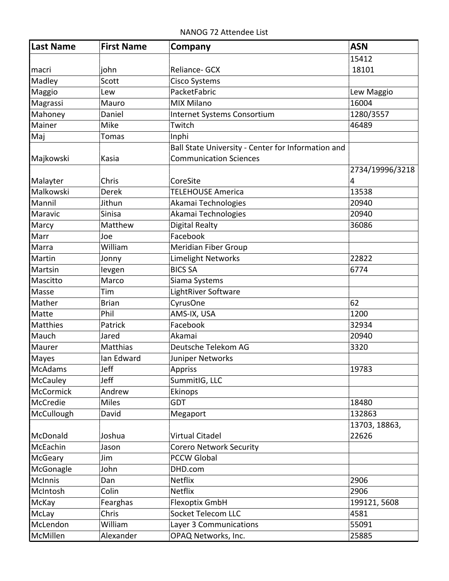NANOG 72 Attendee List

| Last Name        | <b>First Name</b> | Company                                            | <b>ASN</b>      |
|------------------|-------------------|----------------------------------------------------|-----------------|
|                  |                   |                                                    | 15412           |
| macri            | john              | Reliance- GCX                                      | 18101           |
| Madley           | Scott             | Cisco Systems                                      |                 |
| Maggio           | Lew               | PacketFabric                                       | Lew Maggio      |
| Magrassi         | Mauro             | <b>MIX Milano</b>                                  | 16004           |
| Mahoney          | Daniel            | Internet Systems Consortium                        | 1280/3557       |
| Mainer           | Mike              | Twitch                                             | 46489           |
| Maj              | Tomas             | Inphi                                              |                 |
|                  |                   | Ball State University - Center for Information and |                 |
| Majkowski        | Kasia             | <b>Communication Sciences</b>                      |                 |
|                  |                   |                                                    | 2734/19996/3218 |
| Malayter         | Chris             | CoreSite                                           | 4               |
| Malkowski        | Derek             | <b>TELEHOUSE America</b>                           | 13538           |
| Mannil           | Jithun            | Akamai Technologies                                | 20940           |
| Maravic          | Sinisa            | Akamai Technologies                                | 20940           |
| Marcy            | Matthew           | <b>Digital Realty</b>                              | 36086           |
| Marr             | Joe               | Facebook                                           |                 |
| Marra            | William           | <b>Meridian Fiber Group</b>                        |                 |
| Martin           | Jonny             | <b>Limelight Networks</b>                          | 22822           |
| Martsin          | levgen            | <b>BICS SA</b>                                     | 6774            |
| Mascitto         | Marco             | Siama Systems                                      |                 |
| Masse            | Tim               | LightRiver Software                                |                 |
| Mather           | <b>Brian</b>      | CyrusOne                                           | 62              |
| Matte            | Phil              | AMS-IX, USA                                        | 1200            |
| Matthies         | Patrick           | Facebook                                           | 32934           |
| Mauch            | Jared             | Akamai                                             | 20940           |
| Maurer           | Matthias          | Deutsche Telekom AG                                | 3320            |
| Mayes            | Ian Edward        | Juniper Networks                                   |                 |
| McAdams          | Jeff              | Appriss                                            | 19783           |
| McCauley         | Jeff              | SummitIG, LLC                                      |                 |
| <b>McCormick</b> | Andrew            | Ekinops                                            |                 |
| McCredie         | <b>Miles</b>      | <b>GDT</b>                                         | 18480           |
| McCullough       | David             | Megaport                                           | 132863          |
|                  |                   |                                                    | 13703, 18863,   |
| McDonald         | Joshua            | Virtual Citadel                                    | 22626           |
| McEachin         | Jason             | <b>Corero Network Security</b>                     |                 |
| McGeary          | Jim               | <b>PCCW Global</b>                                 |                 |
| McGonagle        | John              | DHD.com                                            |                 |
| <b>McInnis</b>   | Dan               | <b>Netflix</b>                                     | 2906            |
| McIntosh         | Colin             | Netflix                                            | 2906            |
| McKay            | Fearghas          | Flexoptix GmbH                                     | 199121, 5608    |
| McLay            | Chris             | Socket Telecom LLC                                 | 4581            |
| McLendon         | William           | Layer 3 Communications                             | 55091           |
| McMillen         | Alexander         | OPAQ Networks, Inc.                                | 25885           |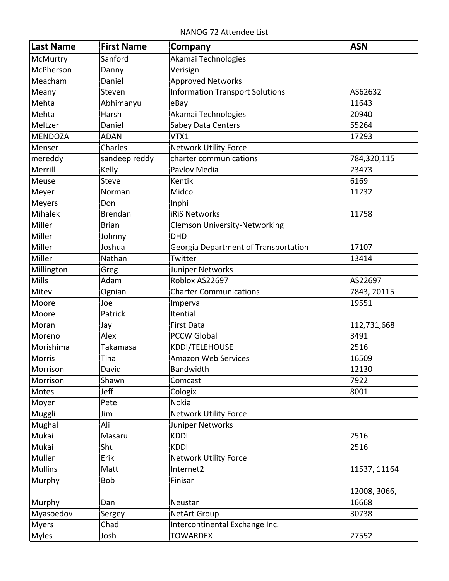NANOG 72 Attendee List

| Last Name      | <b>First Name</b> | Company                                | <b>ASN</b>   |
|----------------|-------------------|----------------------------------------|--------------|
| McMurtry       | Sanford           | Akamai Technologies                    |              |
| McPherson      | Danny             | Verisign                               |              |
| Meacham        | Daniel            | <b>Approved Networks</b>               |              |
| Meany          | Steven            | <b>Information Transport Solutions</b> | AS62632      |
| Mehta          | Abhimanyu         | eBay                                   | 11643        |
| Mehta          | Harsh             | Akamai Technologies                    | 20940        |
| Meltzer        | Daniel            | Sabey Data Centers                     | 55264        |
| <b>MENDOZA</b> | <b>ADAN</b>       | VTX1                                   | 17293        |
| Menser         | Charles           | <b>Network Utility Force</b>           |              |
| mereddy        | sandeep reddy     | charter communications                 | 784,320,115  |
| Merrill        | Kelly             | Pavlov Media                           | 23473        |
| Meuse          | <b>Steve</b>      | Kentik                                 | 6169         |
| Meyer          | Norman            | Midco                                  | 11232        |
| <b>Meyers</b>  | Don               | Inphi                                  |              |
| Mihalek        | <b>Brendan</b>    | <b>iRiS Networks</b>                   | 11758        |
| Miller         | <b>Brian</b>      | <b>Clemson University-Networking</b>   |              |
| Miller         | Johnny            | <b>DHD</b>                             |              |
| Miller         | Joshua            | Georgia Department of Transportation   | 17107        |
| Miller         | Nathan            | Twitter                                | 13414        |
| Millington     | Greg              | Juniper Networks                       |              |
| <b>Mills</b>   | Adam              | Roblox AS22697                         | AS22697      |
| Mitev          | Ognian            | <b>Charter Communications</b>          | 7843, 20115  |
| Moore          | Joe               | Imperva                                | 19551        |
| Moore          | Patrick           | Itential                               |              |
| Moran          | Jay               | <b>First Data</b>                      | 112,731,668  |
| Moreno         | Alex              | <b>PCCW Global</b>                     | 3491         |
| Morishima      | Takamasa          | KDDI/TELEHOUSE                         | 2516         |
| Morris         | Tina              | <b>Amazon Web Services</b>             | 16509        |
| Morrison       | David             | Bandwidth                              | 12130        |
| Morrison       | Shawn             | Comcast                                | 7922         |
| Motes          | Jeff              | Cologix                                | 8001         |
| Moyer          | Pete              | Nokia                                  |              |
| Muggli         | Jim               | <b>Network Utility Force</b>           |              |
| Mughal         | Ali               | Juniper Networks                       |              |
| Mukai          | Masaru            | <b>KDDI</b>                            | 2516         |
| Mukai          | Shu               | <b>KDDI</b>                            | 2516         |
| Muller         | Erik              | <b>Network Utility Force</b>           |              |
| <b>Mullins</b> | Matt              | Internet2                              | 11537, 11164 |
| Murphy         | Bob               | Finisar                                |              |
|                |                   |                                        | 12008, 3066, |
| Murphy         | Dan               | Neustar                                | 16668        |
| Myasoedov      | Sergey            | <b>NetArt Group</b>                    | 30738        |
| <b>Myers</b>   | Chad              | Intercontinental Exchange Inc.         |              |
| Myles          | Josh              | <b>TOWARDEX</b>                        | 27552        |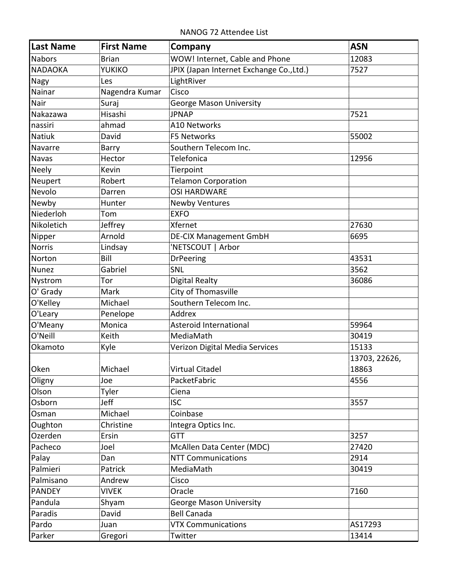NANOG 72 Attendee List

| Last Name      | <b>First Name</b> | Company                                  | <b>ASN</b>    |
|----------------|-------------------|------------------------------------------|---------------|
| Nabors         | <b>Brian</b>      | WOW! Internet, Cable and Phone           | 12083         |
| <b>NADAOKA</b> | YUKIKO            | JPIX (Japan Internet Exchange Co., Ltd.) | 7527          |
| Nagy           | Les               | LightRiver                               |               |
| Nainar         | Nagendra Kumar    | Cisco                                    |               |
| Nair           | Suraj             | <b>George Mason University</b>           |               |
| Nakazawa       | Hisashi           | <b>JPNAP</b>                             | 7521          |
| nassiri        | ahmad             | A10 Networks                             |               |
| <b>Natiuk</b>  | David             | F5 Networks                              | 55002         |
| Navarre        | Barry             | Southern Telecom Inc.                    |               |
| Navas          | Hector            | <b>Telefonica</b>                        | 12956         |
| Neely          | Kevin             | Tierpoint                                |               |
| Neupert        | Robert            | <b>Telamon Corporation</b>               |               |
| Nevolo         | Darren            | <b>OSI HARDWARE</b>                      |               |
| Newby          | Hunter            | <b>Newby Ventures</b>                    |               |
| Niederloh      | Tom               | <b>EXFO</b>                              |               |
| Nikoletich     | Jeffrey           | Xfernet                                  | 27630         |
| Nipper         | Arnold            | <b>DE-CIX Management GmbH</b>            | 6695          |
| <b>Norris</b>  | Lindsay           | 'NETSCOUT   Arbor                        |               |
| Norton         | Bill              | <b>DrPeering</b>                         | 43531         |
| <b>Nunez</b>   | Gabriel           | SNL                                      | 3562          |
| Nystrom        | Tor               | Digital Realty                           | 36086         |
| O' Grady       | Mark              | City of Thomasville                      |               |
| O'Kelley       | Michael           | Southern Telecom Inc.                    |               |
| O'Leary        | Penelope          | Addrex                                   |               |
| O'Meany        | Monica            | Asteroid International                   | 59964         |
| O'Neill        | Keith             | MediaMath                                | 30419         |
| Okamoto        | Kyle              | Verizon Digital Media Services           | 15133         |
|                |                   |                                          | 13703, 22626, |
| Oken           | Michael           | Virtual Citadel                          | 18863         |
| Oligny         | Joe               | PacketFabric                             | 4556          |
| Olson          | Tyler             | Ciena                                    |               |
| Osborn         | Jeff              | <b>ISC</b>                               | 3557          |
| Osman          | Michael           | Coinbase                                 |               |
| Oughton        | Christine         | Integra Optics Inc.                      |               |
| Ozerden        | Ersin             | <b>GTT</b>                               | 3257          |
| Pacheco        | Joel              | McAllen Data Center (MDC)                | 27420         |
| Palay          | Dan               | <b>NTT Communications</b>                | 2914          |
| Palmieri       | Patrick           | MediaMath                                | 30419         |
| Palmisano      | Andrew            | Cisco                                    |               |
| <b>PANDEY</b>  | <b>VIVEK</b>      | Oracle                                   | 7160          |
| Pandula        | Shyam             | <b>George Mason University</b>           |               |
| Paradis        | David             | <b>Bell Canada</b>                       |               |
| Pardo          | Juan              | <b>VTX Communications</b>                | AS17293       |
| Parker         | Gregori           | Twitter                                  | 13414         |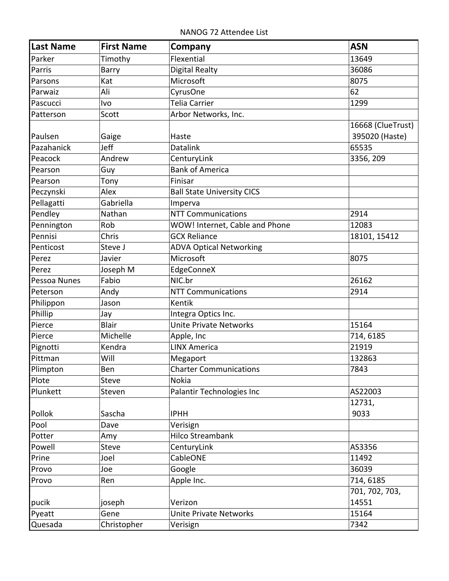NANOG 72 Attendee List

| <b>Last Name</b> | <b>First Name</b> | Company                           | <b>ASN</b>                          |
|------------------|-------------------|-----------------------------------|-------------------------------------|
| Parker           | Timothy           | Flexential                        | 13649                               |
| Parris           | Barry             | <b>Digital Realty</b>             | 36086                               |
| Parsons          | Kat               | Microsoft                         | 8075                                |
| Parwaiz          | Ali               | CyrusOne                          | 62                                  |
| Pascucci         | Ivo               | <b>Telia Carrier</b>              | 1299                                |
| Patterson        | Scott             | Arbor Networks, Inc.              |                                     |
| Paulsen          | Gaige             | Haste                             | 16668 (ClueTrust)<br>395020 (Haste) |
| Pazahanick       | Jeff              | <b>Datalink</b>                   | 65535                               |
| Peacock          | Andrew            | CenturyLink                       | 3356, 209                           |
| Pearson          | Guy               | <b>Bank of America</b>            |                                     |
| Pearson          | Tony              | Finisar                           |                                     |
| Peczynski        | Alex              | <b>Ball State University CICS</b> |                                     |
| Pellagatti       | Gabriella         | Imperva                           |                                     |
| Pendley          | Nathan            | <b>NTT Communications</b>         | 2914                                |
| Pennington       | Rob               | WOW! Internet, Cable and Phone    | 12083                               |
| Pennisi          | Chris             | <b>GCX Reliance</b>               | 18101, 15412                        |
| Penticost        | Steve J           | <b>ADVA Optical Networking</b>    |                                     |
| Perez            | Javier            | Microsoft                         | 8075                                |
| Perez            | Joseph M          | EdgeConneX                        |                                     |
| Pessoa Nunes     | Fabio             | NIC.br                            | 26162                               |
| Peterson         | Andy              | <b>NTT Communications</b>         | 2914                                |
| Philippon        | Jason             | Kentik                            |                                     |
| Phillip          | Jay               | Integra Optics Inc.               |                                     |
| Pierce           | Blair             | <b>Unite Private Networks</b>     | 15164                               |
| Pierce           | Michelle          | Apple, Inc                        | 714, 6185                           |
| Pignotti         | Kendra            | <b>LINX America</b>               | 21919                               |
| Pittman          | Will              | Megaport                          | 132863                              |
| Plimpton         | Ben               | <b>Charter Communications</b>     | 7843                                |
| Plote            | <b>Steve</b>      | <b>Nokia</b>                      |                                     |
| Plunkett         | Steven            | Palantir Technologies Inc         | AS22003                             |
|                  |                   |                                   | 12731,                              |
| Pollok           | Sascha            | <b>IPHH</b>                       | 9033                                |
| Pool             | Dave              | Verisign                          |                                     |
| Potter           | Amy               | <b>Hilco Streambank</b>           |                                     |
| Powell           | <b>Steve</b>      | CenturyLink                       | AS3356                              |
| Prine            | Joel              | CableONE                          | 11492                               |
| Provo            | Joe               | Google                            | 36039                               |
| Provo            | Ren               | Apple Inc.                        | 714, 6185                           |
|                  |                   |                                   | 701, 702, 703,                      |
| pucik            | joseph            | Verizon                           | 14551                               |
| Pyeatt           | Gene              | <b>Unite Private Networks</b>     | 15164                               |
| Quesada          | Christopher       | Verisign                          | 7342                                |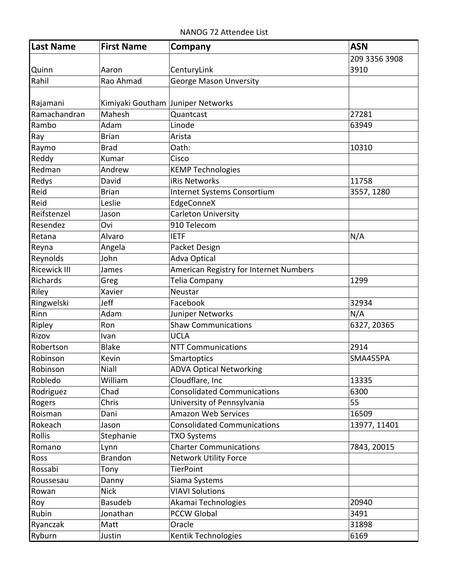NANOG 72 Attendee List

| Last Name           | <b>First Name</b>                 | Company                                | <b>ASN</b>    |
|---------------------|-----------------------------------|----------------------------------------|---------------|
|                     |                                   |                                        | 209 3356 3908 |
| <b>Quinn</b>        | Aaron                             | CenturyLink                            | 3910          |
| Rahil               | Rao Ahmad                         | <b>George Mason Unversity</b>          |               |
|                     |                                   |                                        |               |
| Rajamani            | Kimiyaki Goutham Juniper Networks |                                        |               |
| Ramachandran        | Mahesh                            | Quantcast                              | 27281         |
| Rambo               | Adam                              | Linode                                 | 63949         |
| Ray                 | <b>Brian</b>                      | Arista                                 |               |
| Raymo               | <b>Brad</b>                       | Oath:                                  | 10310         |
| Reddy               | Kumar                             | Cisco                                  |               |
| Redman              | Andrew                            | <b>KEMP Technologies</b>               |               |
| Redys               | David                             | iRis Networks                          | 11758         |
| Reid                | <b>Brian</b>                      | Internet Systems Consortium            | 3557, 1280    |
| Reid                | Leslie                            | EdgeConneX                             |               |
| Reifstenzel         | Jason                             | <b>Carleton University</b>             |               |
| Resendez            | Ovi                               | 910 Telecom                            |               |
| Retana              | Alvaro                            | <b>IETF</b>                            | N/A           |
| Reyna               | Angela                            | Packet Design                          |               |
| Reynolds            | John                              | <b>Adva Optical</b>                    |               |
| <b>Ricewick III</b> | James                             | American Registry for Internet Numbers |               |
| Richards            | Greg                              | Telia Company                          | 1299          |
| Riley               | Xavier                            | Neustar                                |               |
| Ringwelski          | Jeff                              | Facebook                               | 32934         |
| Rinn                | Adam                              | Juniper Networks                       | N/A           |
| Ripley              | Ron                               | <b>Shaw Communications</b>             | 6327, 20365   |
| Rizov               | Ivan                              | <b>UCLA</b>                            |               |
| Robertson           | <b>Blake</b>                      | <b>NTT Communications</b>              | 2914          |
| Robinson            | Kevin                             | Smartoptics                            | SMA455PA      |
| Robinson            | Niall                             | <b>ADVA Optical Networking</b>         |               |
| Robledo             | William                           | Cloudflare, Inc                        | 13335         |
| Rodriguez           | Chad                              | <b>Consolidated Communications</b>     | 6300          |
| Rogers              | Chris                             | University of Pennsylvania             | 55            |
| Roisman             | Dani                              | <b>Amazon Web Services</b>             | 16509         |
| Rokeach             | Jason                             | <b>Consolidated Communications</b>     | 13977, 11401  |
| Rollis              | Stephanie                         | <b>TXO Systems</b>                     |               |
| Romano              | Lynn                              | <b>Charter Communications</b>          | 7843, 20015   |
| Ross                | <b>Brandon</b>                    | <b>Network Utility Force</b>           |               |
| Rossabi             | Tony                              | <b>TierPoint</b>                       |               |
| Roussesau           | Danny                             | Siama Systems                          |               |
| Rowan               | <b>Nick</b>                       | <b>VIAVI Solutions</b>                 |               |
| Roy                 | Basudeb                           | Akamai Technologies                    | 20940         |
| Rubin               | Jonathan                          | <b>PCCW Global</b>                     | 3491          |
| Ryanczak            | Matt                              | Oracle                                 | 31898         |
| Ryburn              | Justin                            | Kentik Technologies                    | 6169          |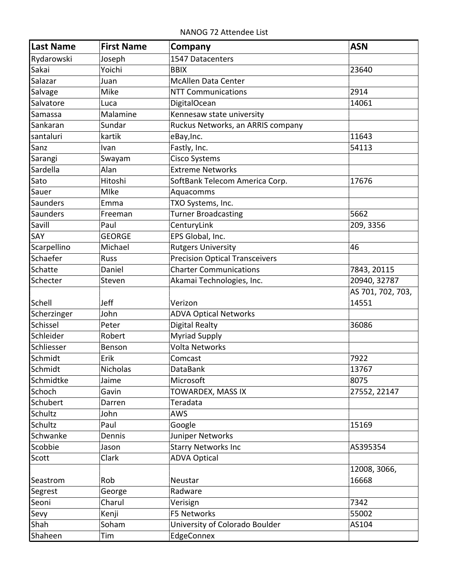NANOG 72 Attendee List

| Last Name   | <b>First Name</b> | Company                               | <b>ASN</b>        |
|-------------|-------------------|---------------------------------------|-------------------|
| Rydarowski  | Joseph            | 1547 Datacenters                      |                   |
| Sakai       | Yoichi            | <b>BBIX</b>                           | 23640             |
| Salazar     | Juan              | <b>McAllen Data Center</b>            |                   |
| Salvage     | Mike              | <b>NTT Communications</b>             | 2914              |
| Salvatore   | Luca              | <b>DigitalOcean</b>                   | 14061             |
| Samassa     | Malamine          | Kennesaw state university             |                   |
| Sankaran    | Sundar            | Ruckus Networks, an ARRIS company     |                   |
| santaluri   | kartik            | eBay, Inc.                            | 11643             |
| Sanz        | Ivan              | Fastly, Inc.                          | 54113             |
| Sarangi     | Swayam            | <b>Cisco Systems</b>                  |                   |
| Sardella    | Alan              | <b>Extreme Networks</b>               |                   |
| Sato        | Hitoshi           | SoftBank Telecom America Corp.        | 17676             |
| Sauer       | Mlke              | Aquacomms                             |                   |
| Saunders    | Emma              | TXO Systems, Inc.                     |                   |
| Saunders    | Freeman           | <b>Turner Broadcasting</b>            | 5662              |
| Savill      | Paul              | CenturyLink                           | 209, 3356         |
| SAY         | <b>GEORGE</b>     | EPS Global, Inc.                      |                   |
| Scarpellino | Michael           | <b>Rutgers University</b>             | 46                |
| Schaefer    | <b>Russ</b>       | <b>Precision Optical Transceivers</b> |                   |
| Schatte     | Daniel            | <b>Charter Communications</b>         | 7843, 20115       |
| Schecter    | Steven            | Akamai Technologies, Inc.             | 20940, 32787      |
|             |                   |                                       | AS 701, 702, 703, |
| Schell      | Jeff              | Verizon                               | 14551             |
| Scherzinger | John              | <b>ADVA Optical Networks</b>          |                   |
| Schissel    | Peter             | <b>Digital Realty</b>                 | 36086             |
| Schleider   | Robert            | <b>Myriad Supply</b>                  |                   |
| Schliesser  | Benson            | <b>Volta Networks</b>                 |                   |
| Schmidt     | Erik              | Comcast                               | 7922              |
| Schmidt     | Nicholas          | DataBank                              | 13767             |
| Schmidtke   | Jaime             | Microsoft                             | 8075              |
| Schoch      | Gavin             | TOWARDEX, MASS IX                     | 27552, 22147      |
| Schubert    | Darren            | Teradata                              |                   |
| Schultz     | John              | AWS                                   |                   |
| Schultz     | Paul              | Google                                | 15169             |
| Schwanke    | Dennis            | Juniper Networks                      |                   |
| Scobbie     | Jason             | <b>Starry Networks Inc</b>            | AS395354          |
| Scott       | Clark             | <b>ADVA Optical</b>                   |                   |
|             |                   |                                       | 12008, 3066,      |
| Seastrom    | Rob               | Neustar                               | 16668             |
| Segrest     | George            | Radware                               |                   |
| Seoni       | Charul            | Verisign                              | 7342              |
| Sevy        | Kenji             | F5 Networks                           | 55002             |
| Shah        | Soham             | University of Colorado Boulder        | AS104             |
| Shaheen     | Tim               | EdgeConnex                            |                   |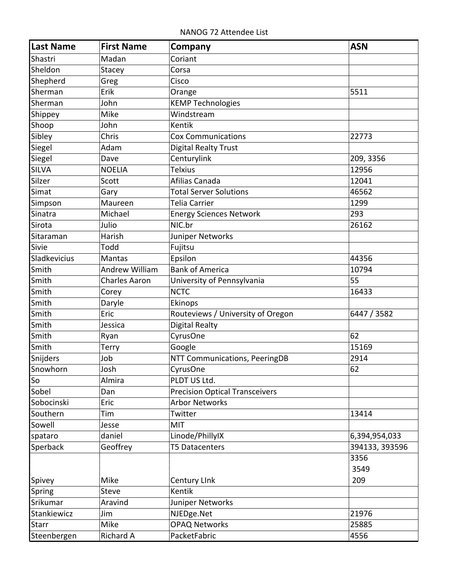NANOG 72 Attendee List

| <b>Last Name</b> | <b>First Name</b>    | Company                               | <b>ASN</b>     |
|------------------|----------------------|---------------------------------------|----------------|
| Shastri          | Madan                | Coriant                               |                |
| Sheldon          | Stacey               | Corsa                                 |                |
| Shepherd         | Greg                 | Cisco                                 |                |
| Sherman          | Erik                 | Orange                                | 5511           |
| Sherman          | John                 | <b>KEMP Technologies</b>              |                |
| Shippey          | Mike                 | Windstream                            |                |
| Shoop            | John                 | <b>Kentik</b>                         |                |
| Sibley           | Chris                | <b>Cox Communications</b>             | 22773          |
| Siegel           | Adam                 | Digital Realty Trust                  |                |
| Siegel           | Dave                 | Centurylink                           | 209, 3356      |
| <b>SILVA</b>     | <b>NOELIA</b>        | <b>Telxius</b>                        | 12956          |
| Silzer           | Scott                | Afilias Canada                        | 12041          |
| Simat            | Gary                 | <b>Total Server Solutions</b>         | 46562          |
| Simpson          | Maureen              | Telia Carrier                         | 1299           |
| Sinatra          | Michael              | <b>Energy Sciences Network</b>        | 293            |
| Sirota           | Julio                | NIC.br                                | 26162          |
| Sitaraman        | Harish               | Juniper Networks                      |                |
| Sivie            | Todd                 | Fujitsu                               |                |
| Sladkevicius     | Mantas               | Epsilon                               | 44356          |
| Smith            | Andrew William       | <b>Bank of America</b>                | 10794          |
| Smith            | <b>Charles Aaron</b> | University of Pennsylvania            | 55             |
| Smith            | Corey                | <b>NCTC</b>                           | 16433          |
| Smith            | Daryle               | Ekinops                               |                |
| Smith            | Eric                 | Routeviews / University of Oregon     | 6447 / 3582    |
| Smith            | Jessica              | <b>Digital Realty</b>                 |                |
| Smith            | Ryan                 | CyrusOne                              | 62             |
| Smith            | <b>Terry</b>         | Google                                | 15169          |
| Snijders         | Job                  | NTT Communications, PeeringDB         | 2914           |
| Snowhorn         | Josh                 | CyrusOne                              | 62             |
| So               | Almira               | PLDT US Ltd.                          |                |
| Sobel            | Dan                  | <b>Precision Optical Transceivers</b> |                |
| Sobocinski       | Eric                 | <b>Arbor Networks</b>                 |                |
| Southern         | Tim                  | Twitter                               | 13414          |
| Sowell           | Jesse                | <b>MIT</b>                            |                |
| spataro          | daniel               | Linode/PhillyIX                       | 6,394,954,033  |
| Sperback         | Geoffrey             | <b>T5 Datacenters</b>                 | 394133, 393596 |
|                  |                      |                                       | 3356           |
|                  |                      |                                       | 3549           |
| Spivey           | Mike                 | Century Link                          | 209            |
| Spring           | <b>Steve</b>         | Kentik                                |                |
| Srikumar         | Aravind              | Juniper Networks                      |                |
| Stankiewicz      | Jim                  | NJEDge.Net                            | 21976          |
| <b>Starr</b>     | Mike                 | <b>OPAQ Networks</b>                  | 25885          |
| Steenbergen      | <b>Richard A</b>     | PacketFabric                          | 4556           |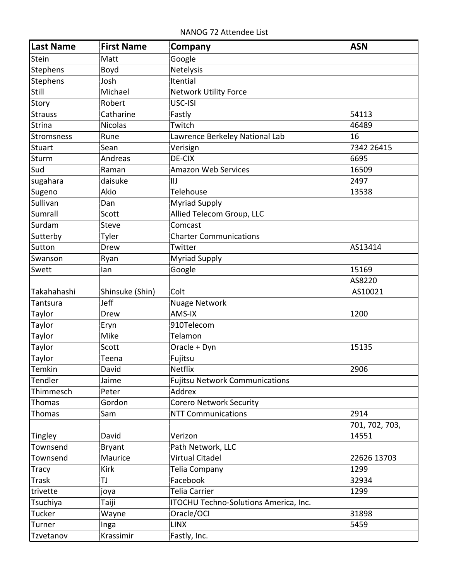NANOG 72 Attendee List

| Last Name      | <b>First Name</b> | Company                               | <b>ASN</b>     |
|----------------|-------------------|---------------------------------------|----------------|
| Stein          | Matt              | Google                                |                |
| Stephens       | Boyd              | Netelysis                             |                |
| Stephens       | Josh              | Itential                              |                |
| Still          | Michael           | <b>Network Utility Force</b>          |                |
| Story          | Robert            | USC-ISI                               |                |
| <b>Strauss</b> | Catharine         | Fastly                                | 54113          |
| Strina         | <b>Nicolas</b>    | Twitch                                | 46489          |
| Stromsness     | Rune              | Lawrence Berkeley National Lab        | 16             |
| <b>Stuart</b>  | Sean              | Verisign                              | 7342 26415     |
| Sturm          | Andreas           | DE-CIX                                | 6695           |
| Sud            | Raman             | <b>Amazon Web Services</b>            | 16509          |
| sugahara       | daisuke           | IIJ                                   | 2497           |
| Sugeno         | Akio              | Telehouse                             | 13538          |
| Sullivan       | Dan               | <b>Myriad Supply</b>                  |                |
| Sumrall        | Scott             | Allied Telecom Group, LLC             |                |
| Surdam         | <b>Steve</b>      | Comcast                               |                |
| Sutterby       | Tyler             | <b>Charter Communications</b>         |                |
| Sutton         | Drew              | Twitter                               | AS13414        |
| Swanson        | Ryan              | <b>Myriad Supply</b>                  |                |
| Swett          | lan               | Google                                | 15169          |
|                |                   |                                       | AS8220         |
| Takahahashi    | Shinsuke (Shin)   | Colt                                  | AS10021        |
| Tantsura       | Jeff              | <b>Nuage Network</b>                  |                |
| Taylor         | Drew              | AMS-IX                                | 1200           |
| Taylor         | Eryn              | 910Telecom                            |                |
| Taylor         | Mike              | Telamon                               |                |
| Taylor         | Scott             | Oracle + Dyn                          | 15135          |
| Taylor         | Teena             | Fujitsu                               |                |
| Temkin         | David             | Netflix                               | 2906           |
| Tendler        | Jaime             | <b>Fujitsu Network Communications</b> |                |
| Thimmesch      | Peter             | Addrex                                |                |
| <b>Thomas</b>  | Gordon            | <b>Corero Network Security</b>        |                |
| Thomas         | Sam               | <b>NTT Communications</b>             | 2914           |
|                |                   |                                       | 701, 702, 703, |
| Tingley        | David             | Verizon                               | 14551          |
| Townsend       | <b>Bryant</b>     | Path Network, LLC                     |                |
| Townsend       | Maurice           | Virtual Citadel                       | 22626 13703    |
| Tracy          | Kirk              | Telia Company                         | 1299           |
| Trask          | TJ                | Facebook                              | 32934          |
| trivette       | joya              | <b>Telia Carrier</b>                  | 1299           |
| Tsuchiya       | Taiji             | ITOCHU Techno-Solutions America, Inc. |                |
| Tucker         | Wayne             | Oracle/OCI                            | 31898          |
| Turner         | Inga              | <b>LINX</b>                           | 5459           |
| Tzvetanov      | Krassimir         | Fastly, Inc.                          |                |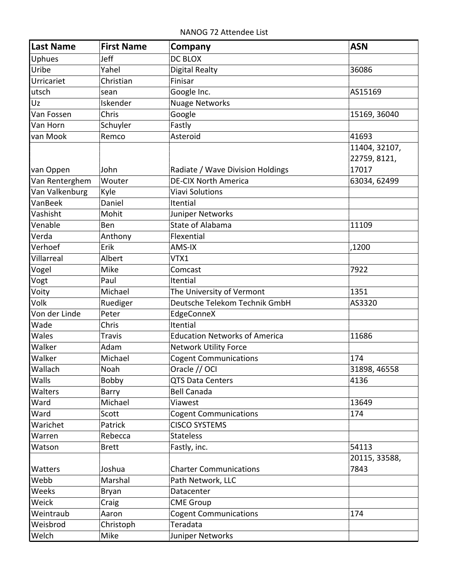NANOG 72 Attendee List

| Last Name      | <b>First Name</b> | <b>Company</b>                       | <b>ASN</b>    |
|----------------|-------------------|--------------------------------------|---------------|
| Uphues         | Jeff              | <b>DC BLOX</b>                       |               |
| Uribe          | Yahel             | <b>Digital Realty</b>                | 36086         |
| Urricariet     | Christian         | Finisar                              |               |
| utsch          | sean              | Google Inc.                          | AS15169       |
| Uz             | Iskender          | <b>Nuage Networks</b>                |               |
| Van Fossen     | Chris             | Google                               | 15169, 36040  |
| Van Horn       | Schuyler          | Fastly                               |               |
| van Mook       | Remco             | Asteroid                             | 41693         |
|                |                   |                                      | 11404, 32107, |
|                |                   |                                      | 22759, 8121,  |
| van Oppen      | John              | Radiate / Wave Division Holdings     | 17017         |
| Van Renterghem | Wouter            | <b>DE-CIX North America</b>          | 63034, 62499  |
| Van Valkenburg | Kyle              | <b>Viavi Solutions</b>               |               |
| VanBeek        | Daniel            | Itential                             |               |
| Vashisht       | Mohit             | Juniper Networks                     |               |
| Venable        | Ben               | State of Alabama                     | 11109         |
| Verda          | Anthony           | Flexential                           |               |
| Verhoef        | Erik              | AMS-IX                               | ,1200         |
| Villarreal     | Albert            | VTX1                                 |               |
| Vogel          | Mike              | Comcast                              | 7922          |
| Vogt           | Paul              | Itential                             |               |
| Voity          | Michael           | The University of Vermont            | 1351          |
| Volk           | Ruediger          | Deutsche Telekom Technik GmbH        | AS3320        |
| Von der Linde  | Peter             | EdgeConneX                           |               |
| Wade           | Chris             | Itential                             |               |
| Wales          | <b>Travis</b>     | <b>Education Networks of America</b> | 11686         |
| Walker         | Adam              | <b>Network Utility Force</b>         |               |
| Walker         | Michael           | <b>Cogent Communications</b>         | 174           |
| Wallach        | Noah              | Oracle // OCI                        | 31898, 46558  |
| Walls          | Bobby             | <b>QTS Data Centers</b>              | 4136          |
| <b>Walters</b> | Barry             | <b>Bell Canada</b>                   |               |
| Ward           | Michael           | Viawest                              | 13649         |
| Ward           | Scott             | <b>Cogent Communications</b>         | 174           |
| Warichet       | Patrick           | <b>CISCO SYSTEMS</b>                 |               |
| Warren         | Rebecca           | <b>Stateless</b>                     |               |
| Watson         | <b>Brett</b>      | Fastly, inc.                         | 54113         |
|                |                   |                                      | 20115, 33588, |
| Watters        | Joshua            | <b>Charter Communications</b>        | 7843          |
| Webb           | Marshal           | Path Network, LLC                    |               |
| Weeks          | <b>Bryan</b>      | Datacenter                           |               |
| Weick          | Craig             | <b>CME Group</b>                     |               |
| Weintraub      | Aaron             | <b>Cogent Communications</b>         | 174           |
| Weisbrod       | Christoph         | Teradata                             |               |
| Welch          | Mike              | Juniper Networks                     |               |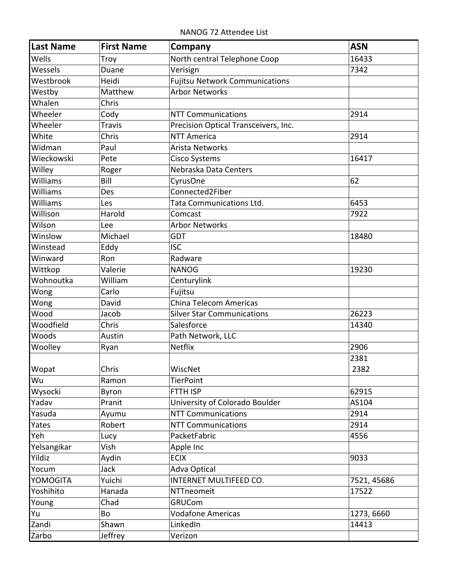NANOG 72 Attendee List

| <b>Last Name</b> | <b>First Name</b> | Company                               | <b>ASN</b>  |
|------------------|-------------------|---------------------------------------|-------------|
| Wells            | Troy              | North central Telephone Coop          | 16433       |
| Wessels          | Duane             | Verisign                              | 7342        |
| Westbrook        | Heidi             | <b>Fujitsu Network Communications</b> |             |
| Westby           | Matthew           | <b>Arbor Networks</b>                 |             |
| Whalen           | Chris             |                                       |             |
| Wheeler          | Cody              | <b>NTT Communications</b>             | 2914        |
| Wheeler          | <b>Travis</b>     | Precision Optical Transceivers, Inc.  |             |
| White            | Chris             | <b>NTT America</b>                    | 2914        |
| Widman           | Paul              | <b>Arista Networks</b>                |             |
| Wieckowski       | Pete              | <b>Cisco Systems</b>                  | 16417       |
| Willey           | Roger             | Nebraska Data Centers                 |             |
| Williams         | Bill              | CyrusOne                              | 62          |
| Williams         | Des               | Connected2Fiber                       |             |
| Williams         | Les               | Tata Communications Ltd.              | 6453        |
| Willison         | Harold            | Comcast                               | 7922        |
| Wilson           | Lee               | <b>Arbor Networks</b>                 |             |
| Winslow          | Michael           | <b>GDT</b>                            | 18480       |
| Winstead         | Eddy              | <b>ISC</b>                            |             |
| Winward          | Ron               | Radware                               |             |
| Wittkop          | Valerie           | <b>NANOG</b>                          | 19230       |
| Wohnoutka        | William           | Centurylink                           |             |
| Wong             | Carlo             | Fujitsu                               |             |
| Wong             | David             | China Telecom Americas                |             |
| Wood             | Jacob             | <b>Silver Star Communications</b>     | 26223       |
| Woodfield        | Chris             | Salesforce                            | 14340       |
| Woods            | Austin            | Path Network, LLC                     |             |
| Woolley          | Ryan              | <b>Netflix</b>                        | 2906        |
|                  |                   |                                       | 2381        |
| <b>Wopat</b>     | Chris             | WiscNet                               | 2382        |
| Wu               | Ramon             | <b>TierPoint</b>                      |             |
| Wysocki          | Byron             | FTTH ISP                              | 62915       |
| Yadav            | Pranit            | University of Colorado Boulder        | AS104       |
| Yasuda           | Ayumu             | <b>NTT Communications</b>             | 2914        |
| Yates            | Robert            | <b>NTT Communications</b>             | 2914        |
| Yeh              | Lucy              | PacketFabric                          | 4556        |
| Yelsangikar      | Vish              | Apple Inc                             |             |
| Yildiz           | Aydin             | <b>ECIX</b>                           | 9033        |
| Yocum            | Jack              | <b>Adva Optical</b>                   |             |
| YOMOGITA         | Yuichi            | INTERNET MULTIFEED CO.                | 7521, 45686 |
| Yoshihito        | Hanada            | NTTneomeit                            | 17522       |
| Young            | Chad              | <b>GRUCom</b>                         |             |
| Yu               | Bo                | <b>Vodafone Americas</b>              | 1273, 6660  |
| Zandi            | Shawn             | LinkedIn                              | 14413       |
| Zarbo            | Jeffrey           | Verizon                               |             |